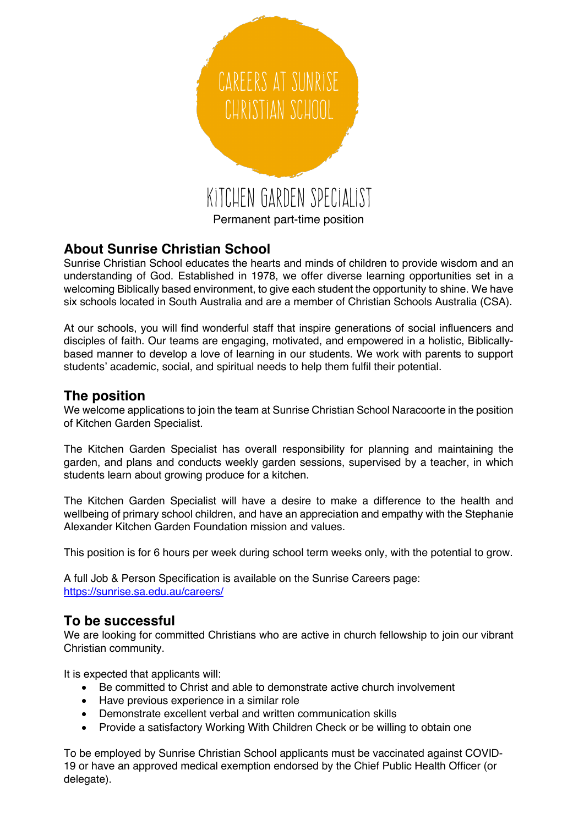

# **About Sunrise Christian School**

Sunrise Christian School educates the hearts and minds of children to provide wisdom and an understanding of God. Established in 1978, we offer diverse learning opportunities set in a welcoming Biblically based environment, to give each student the opportunity to shine. We have six schools located in South Australia and are a member of Christian Schools Australia (CSA).

At our schools, you will find wonderful staff that inspire generations of social influencers and disciples of faith. Our teams are engaging, motivated, and empowered in a holistic, Biblicallybased manner to develop a love of learning in our students. We work with parents to support students' academic, social, and spiritual needs to help them fulfil their potential.

### **The position**

We welcome applications to join the team at Sunrise Christian School Naracoorte in the position of Kitchen Garden Specialist.

The Kitchen Garden Specialist has overall responsibility for planning and maintaining the garden, and plans and conducts weekly garden sessions, supervised by a teacher, in which students learn about growing produce for a kitchen.

The Kitchen Garden Specialist will have a desire to make a difference to the health and wellbeing of primary school children, and have an appreciation and empathy with the Stephanie Alexander Kitchen Garden Foundation mission and values.

This position is for 6 hours per week during school term weeks only, with the potential to grow.

A full Job & Person Specification is available on the Sunrise Careers page: https://sunrise.sa.edu.au/careers/

### **To be successful**

We are looking for committed Christians who are active in church fellowship to join our vibrant Christian community.

It is expected that applicants will:

- Be committed to Christ and able to demonstrate active church involvement
- Have previous experience in a similar role
- Demonstrate excellent verbal and written communication skills
- Provide a satisfactory Working With Children Check or be willing to obtain one

To be employed by Sunrise Christian School applicants must be vaccinated against COVID-19 or have an approved medical exemption endorsed by the Chief Public Health Officer (or delegate).